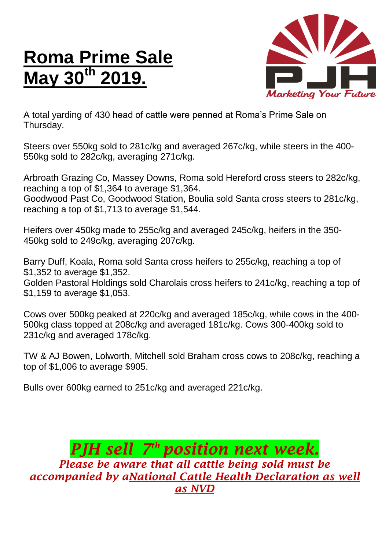## **Roma Prime Sale May 30th 2019.**



A total yarding of 430 head of cattle were penned at Roma's Prime Sale on Thursday.

Steers over 550kg sold to 281c/kg and averaged 267c/kg, while steers in the 400- 550kg sold to 282c/kg, averaging 271c/kg.

Arbroath Grazing Co, Massey Downs, Roma sold Hereford cross steers to 282c/kg, reaching a top of \$1,364 to average \$1,364. Goodwood Past Co, Goodwood Station, Boulia sold Santa cross steers to 281c/kg, reaching a top of \$1,713 to average \$1,544.

Heifers over 450kg made to 255c/kg and averaged 245c/kg, heifers in the 350- 450kg sold to 249c/kg, averaging 207c/kg.

Barry Duff, Koala, Roma sold Santa cross heifers to 255c/kg, reaching a top of \$1,352 to average \$1,352.

Golden Pastoral Holdings sold Charolais cross heifers to 241c/kg, reaching a top of \$1,159 to average \$1,053.

Cows over 500kg peaked at 220c/kg and averaged 185c/kg, while cows in the 400- 500kg class topped at 208c/kg and averaged 181c/kg. Cows 300-400kg sold to 231c/kg and averaged 178c/kg.

TW & AJ Bowen, Lolworth, Mitchell sold Braham cross cows to 208c/kg, reaching a top of \$1,006 to average \$905.

Bulls over 600kg earned to 251c/kg and averaged 221c/kg.

*PJH sell 7 th position next week. Please be aware that all cattle being sold must be accompanied by aNational Cattle Health Declaration as well as NVD*